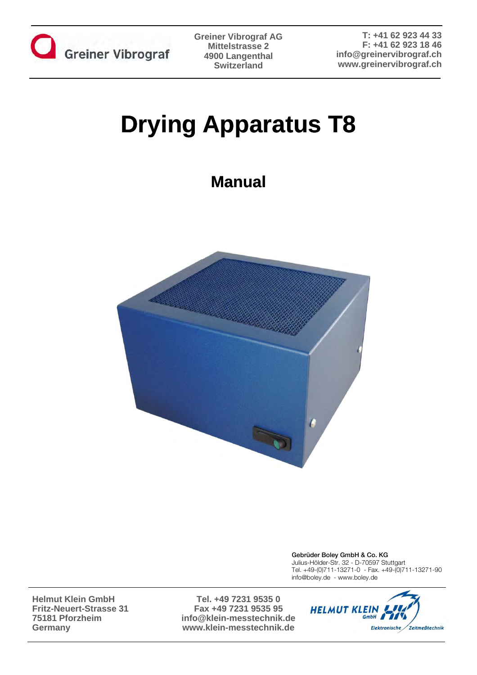

# **Drying Apparatus T8**

# **Manual**



Gebrüder Boley GmbH & Co. KG Julius-Hölder-Str. 32 - D-70597 Stuttgart Tel. +49-(0)711-13271-0 - Fax. +49-(0)711-13271-90 info@boley.de - www.boley.de

**Helmut Klein GmbH Fritz-Neuert-Strasse 31 75181 Pforzheim Germany**

**Tel. +49 7231 9535 0 Fax +49 7231 9535 95 info@klein-messtechnik.de www.klein-messtechnik.de**

**Manual Drying Apparatus T8** Page 1

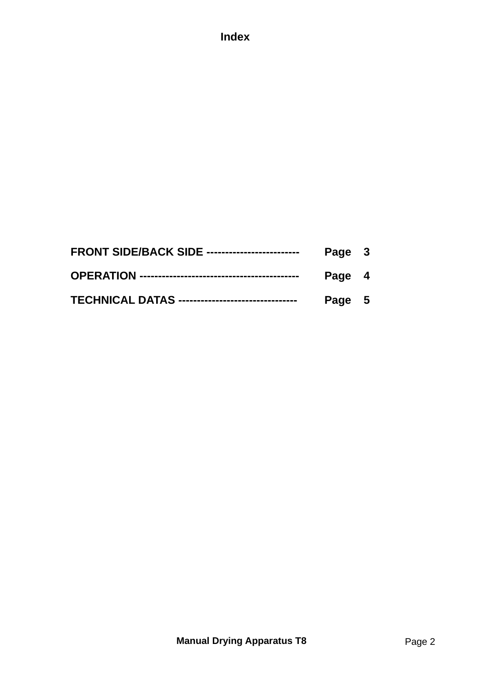## **Index**

| <b>FRONT SIDE/BACK SIDE -------------------------</b>    | Page 3 |  |
|----------------------------------------------------------|--------|--|
|                                                          | Page 4 |  |
| <b>TECHNICAL DATAS ---------------------------------</b> | Page 5 |  |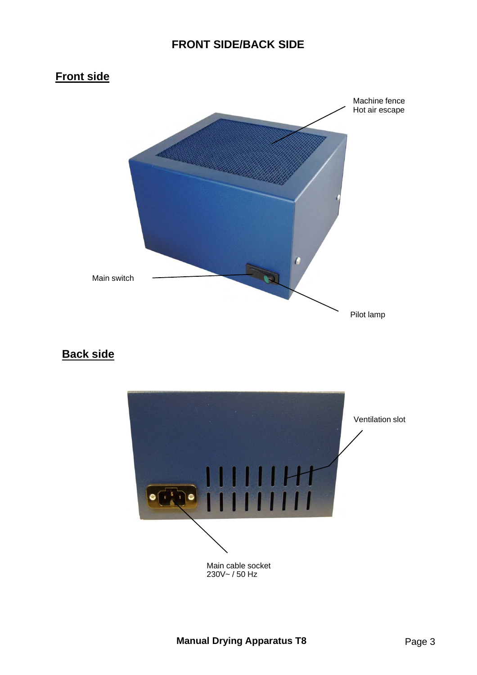#### **FRONT SIDE/BACK SIDE**

# **Front side**



### **Back side**

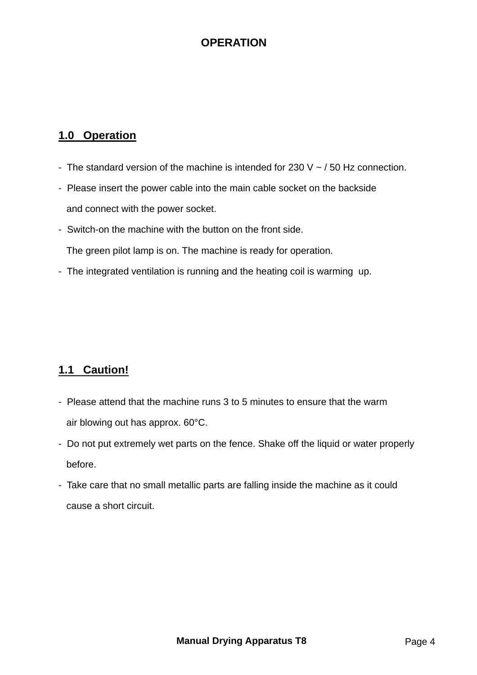#### **OPERATION**

#### **1.0 Operation**

- The standard version of the machine is intended for 230 V  $\sim$  / 50 Hz connection.
- Please insert the power cable into the main cable socket on the backside and connect with the power socket.
- Switch-on the machine with the button on the front side.

The green pilot lamp is on. The machine is ready for operation.

- The integrated ventilation is running and the heating coil is warming up.

#### **1.1 Caution!**

- Please attend that the machine runs 3 to 5 minutes to ensure that the warm air blowing out has approx. 60°C.
- Do not put extremely wet parts on the fence. Shake off the liquid or water properly before.
- Take care that no small metallic parts are falling inside the machine as it could cause a short circuit.